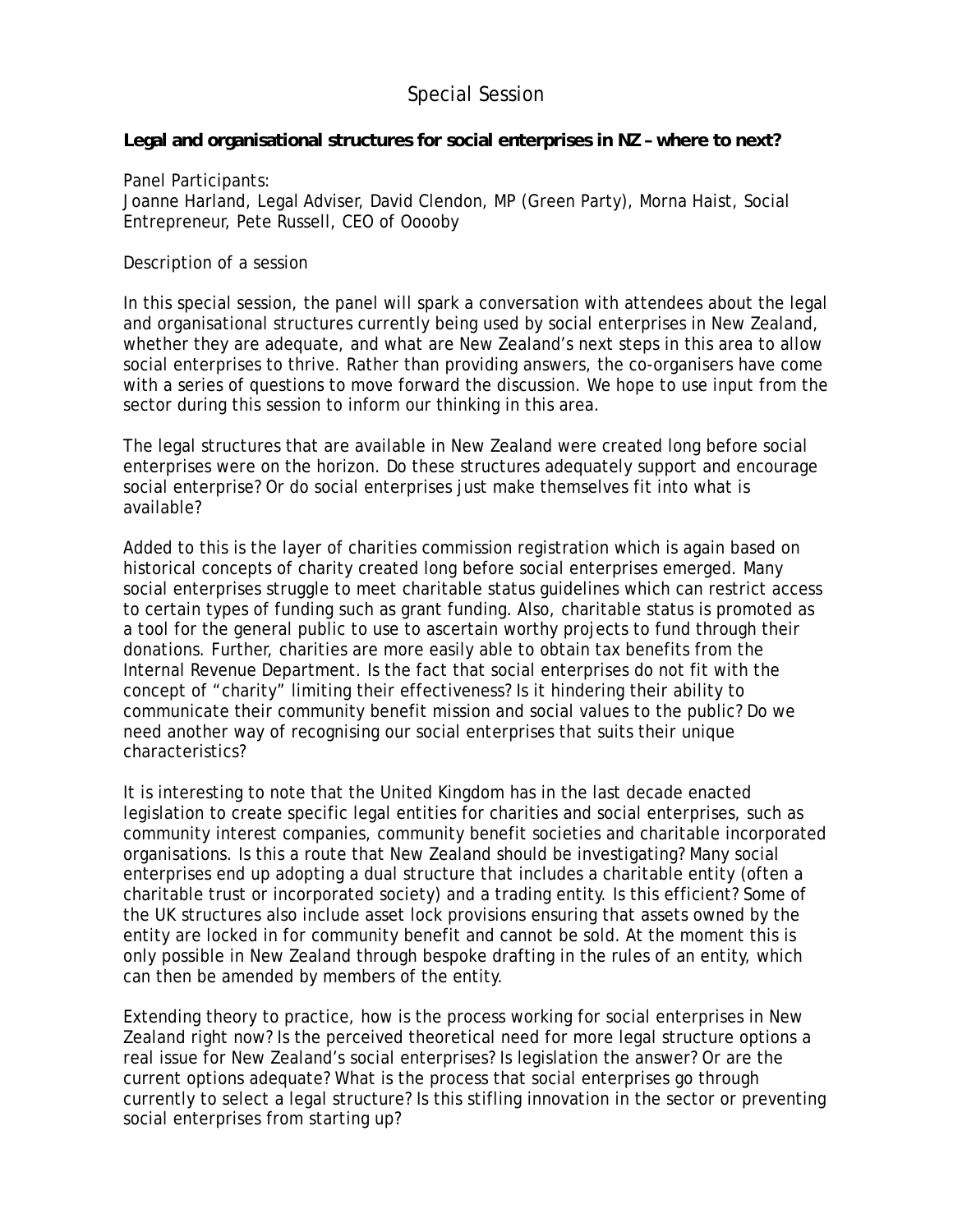## Special Session

## **Legal and organisational structures for social enterprises in NZ – where to next?**

Panel Participants: Joanne Harland, Legal Adviser, David Clendon, MP (Green Party), Morna Haist, Social Entrepreneur, Pete Russell, CEO of Ooooby

Description of a session

In this special session, the panel will spark a conversation with attendees about the legal and organisational structures currently being used by social enterprises in New Zealand, whether they are adequate, and what are New Zealand's next steps in this area to allow social enterprises to thrive. Rather than providing answers, the co-organisers have come with a series of questions to move forward the discussion. We hope to use input from the sector during this session to inform our thinking in this area.

The legal structures that are available in New Zealand were created long before social enterprises were on the horizon. Do these structures adequately support and encourage social enterprise? Or do social enterprises just make themselves fit into what is available?

Added to this is the layer of charities commission registration which is again based on historical concepts of charity created long before social enterprises emerged. Many social enterprises struggle to meet charitable status guidelines which can restrict access to certain types of funding such as grant funding. Also, charitable status is promoted as a tool for the general public to use to ascertain worthy projects to fund through their donations. Further, charities are more easily able to obtain tax benefits from the Internal Revenue Department. Is the fact that social enterprises do not fit with the concept of "charity" limiting their effectiveness? Is it hindering their ability to communicate their community benefit mission and social values to the public? Do we need another way of recognising our social enterprises that suits their unique characteristics?

It is interesting to note that the United Kingdom has in the last decade enacted legislation to create specific legal entities for charities and social enterprises, such as community interest companies, community benefit societies and charitable incorporated organisations. Is this a route that New Zealand should be investigating? Many social enterprises end up adopting a dual structure that includes a charitable entity (often a charitable trust or incorporated society) and a trading entity. Is this efficient? Some of the UK structures also include asset lock provisions ensuring that assets owned by the entity are locked in for community benefit and cannot be sold. At the moment this is only possible in New Zealand through bespoke drafting in the rules of an entity, which can then be amended by members of the entity.

Extending theory to practice, how is the process working for social enterprises in New Zealand right now? Is the perceived theoretical need for more legal structure options a real issue for New Zealand's social enterprises? Is legislation the answer? Or are the current options adequate? What is the process that social enterprises go through currently to select a legal structure? Is this stifling innovation in the sector or preventing social enterprises from starting up?